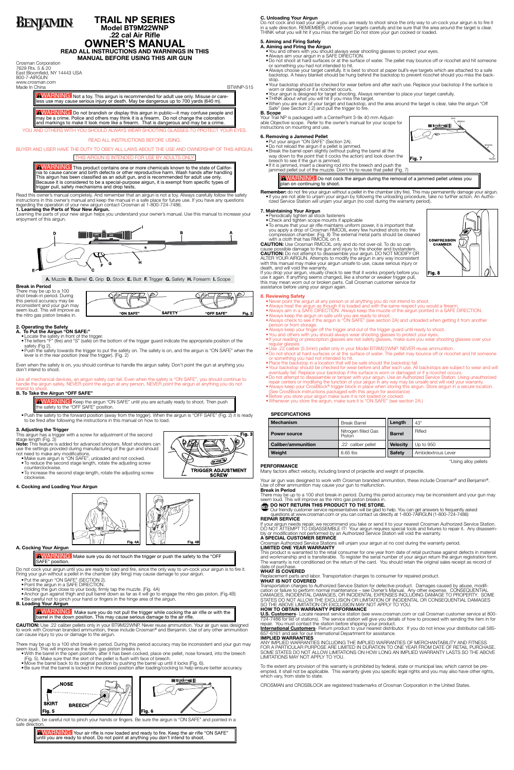# **BENJAMIN**

# **TRAIL NP SERIES Model BT9M22WNP .22 cal Air Rifle OWNER'S MANUAL**

**READ ALL INSTRUCTIONS AND WARNINGS IN THIS MANUAL BEFORE USING THIS AIR GUN**

Crosman Corporation 7629 Rts. 5 & 20 East Bloomfield, NY 14443 USA 800-7-AIRGUN www.crosman.com

Made In China **BTWNP-515** 

AWARNING: Not a toy. This airgun is recommended for adult use only. Misuse or careless use may cause serious injury or death. May be dangerous up to 700 yards (640 m).

**AWARNING:** Do not brandish or display this airgun in public—it may confuse people and may be a crime. Police and others may think it is a firearm. Do not change the coloration and markings to make it look more like a firearm. That is dangerous and may be a crime.

**AWARNING:** This product contains one or more chemicals known to the state of California to cause cancer and birth defects or other reproductive harm. Wash hands after handling This airgun has been classified as an adult gun, and is recommended for adult use only. Because it is considered to be a special-purpose airgun, it is exempt from specific types of trigger pull, safety mechanisms and drop tests.

YOU AND OTHERS WITH YOU SHOULD ALWAYS WEAR SHOOTING GLASSES TO PROTECT YOUR EYES.

READ ALL INSTRUCTIONS BEFORE USING.

# BUYER AND USER HAVE THE DUTY TO OBEY ALL LAWS ABOUT THE USE AND OWNERSHIP OF THIS AIRGUN.

# THIS AIRGUN IS INTENDED FOR USE BY ADULTS ONLY

There may be up to a 100 shot break-in period. During this period accuracy may be inconsistent and your gun may seem loud. This will improve as the nitro gas piston breaks in.

**A. To Put the Airgun "ON SAFE:"** • Locate the safety in front of the trigger.

• Push the safety towards the trigger to put the safety on. The safety is on, and the airgun is "ON SAFE" when the lever is in the rear position (near the trigger). (Fig. 2)

Read this owner's manual completely. And remember that an airgun is not a toy. Always carefully follow the safety instructions in this owner's manual and keep the manual in a safe place for future use. If you have any questions regarding the operation of your new airgun contact Crosman at 1-800-724-7486.

• Push the safety to the forward position (away from the trigger). When the airgun is "OFF SAFE" (Fig. 2) it is ready to be fired after following the instructions in this manual on how to load.

**1. Learning the Parts of Your New Airgun.**

Learning the parts of your new airgun helps you understand your owner's manual. Use this manual to increase your enjoyment of this airgun.



**A.** Muzzle **B.** Barrel **C.** Grip **D.** Stock **E.** Butt **F.** Trigger **G.** Safety **H.** Forearm **I.** Scope

**SAFETY** 

"OFF SAFE

فتصصح

Fig. 2

Fig. 3

**Break in Period**

AWARNING: Make sure you do not touch the trigger or push the safety to the "OFF SAFE" position.

- • Put the airgun "ON SAFE" (SECTION 2).
- • Point the airgun in a SAFE DIRECTION.
- Holding the gun close to your body, firmly tap the muzzle. (Fig. 4A)
- • Anchor gun against thigh and pull barrel down as far as it will go to engage the nitro gas piston. (Fig.4B) • Be careful not to pinch your hand or fingers in the hinge area of the airgun.

# **2. Operating the Safety**

• The letters "F" (fire) and "S" (safe) on the bottom of the trigger guard indicate the appropriate position of the safety (Fig 2).

"ON SAFE"

AWARNING: Make sure you do not pull the trigger while cocking the air rifle or with the barrel in the down position. This may cause serious damage to the air rifle.

Even when the safety is on, you should continue to handle the airgun safely. Don't point the gun at anything you don't intend to shoot.

Once again, be careful not to pinch your hands or fingers. Be sure the airgun is "ON SAFE" and pointed in a safe direction

Like all mechanical devices, an airgun safety can fail. Even when the safety is "ON SAFE", you should continue to handle the airgun safely. NEVER point the airgun at any person. NEVER point the airgun at anything you do not intend to shoot.

AWARNING: Your air rifle is now loaded and ready to fire. Keep the air rifle "ON SAFE" until you are ready to shoot. Do not point at anything you don't intend to shoot.

# **B. To Take the Airgun "OFF SAFE"**

**AWARNING:** Keep the airgun "ON SAFE" until you are actually ready to shoot. Then push the safety to the "OFF SAFE" position.

**3. Adjusting the Trigger** This airgun has a trigger with a screw for adjustment of the second stage length (Fig. 3)

**Note:** This feature is added for advanced shooters. Most shooters can use the settings provided during manufacturing of the gun and should not need to make any modifications.

- • Make sure airgun is "ON SAFE", unloaded and not cocked.
- To reduce the second stage length, rotate the adjusting screw counterclockwise.
- • To increase the second stage length, rotate the adjusting screw clockwise.

# **4. Cocking and Loading Your Airgun**





### **A. Cocking Your Airgun**

**AWARNING:** Do not cock the airgun during the removal of a jammed pellet unless you plan on continuing to shoot.

Do not cock your airgun until you are ready to load and fire, since the only way to un-cock your airgun is to fire it. Firing your gun without a pellet in the chamber (dry firing) may cause damage to your airgun.

**Remember:** do not fire your airgun without a pellet in the chamber (dry fire). This may permanently damage your airgun.<br>● If you are not able to unjam your airgun by following the unloading procedure, take no further act rized Service Station will unjam your airgun (no cost during the warranty period).

- Check and tighten scope mounts if applicable
- To ensure that your air rifle maintains uniform power, it is important that you apply a drop of Crosman RMCOIL every few hundred shots into the compression chamber. (Fig. 8) The external metal parts should be cleaned with a cloth that has RMCOIL on it.

# **B. Loading Your Airgun**

**CAUTION:** Use .22 caliber pellets only in your BT9M22WNP. Never reuse ammunition. Your air gun was designed to work with Crosman branded ammunition, these include Crosman® and Benjamin. Use of any other ammunition can cause injury to you or damage to the airgun.

There may be up to a 100 shot break-in period. During this period accuracy may be inconsistent and your gun may seem loud. This will improve as the nitro gas piston breaks in.

- • With the barrel in the open position, after it has been cocked, place one pellet, nose forward, into the breech
- (Fig. 5). Make sure that the skirt of the pellet is flush with face of breech.
- • Move the barrel back to its original position by pushing the barrel up until it locks (Fig. 6).

• Be sure that the barrel is locked in the closed position after loading/cocking to help ensure better accuracy.



# **C. Unloading Your Airgun**

Your air gun was designed to work with Crosman branded ammunition, these include Crosman® and Benjamin®. Use of other ammunition may cause your gun to malfunction.

Do not cock and load your airgun until you are ready to shoot since the only way to un-cock your airgun is to fire it in a safe direction. REMEMBER, choose your targets carefully and be sure that the area around the target is clear. THINK what you will hit if you miss the target! Do not store your gun cocked or loaded.

#### **5. Aiming and Firing Safely A. Aiming and Firing the Airgun**

- • You and others with you should always wear shooting glasses to protect your eyes.
- Always aim your airgun in a SAFE DIRECTION.
- • Do not shoot at hard surfaces or at the surface of water. The pellet may bounce off or ricochet and hit someone or something you had not intended to hit.
- • Always choose your target carefully. It is best to shoot at paper bull's-eye targets which are attached to a safe backstop. A heavy blanket should be hung behind the backstop to prevent ricochet should you miss the backstop.
- • Your backstop should be checked for wear before and after each use. Replace your backstop if the surface is worn or damaged or if a ricochet occurs.
- • Your airgun is designed for target shooting. Always remember to place your target carefully.
- THINK about what you will hit if you miss the target. • When you are sure of your target and backstop, and the area around the target is clear, take the airgun "Off Safe" (see Section 2.2) and pull the trigger to fire.

U.S. Customers- Locate nearest service station (see www.crosman.com or call Crosman customer service at 800-<br>724-7486 for list of stations). The service station will give you details of how to proceed with sending the item repair. You must contact the station before shipping your product.

**International Customers**- Return product to your nearest distributor. If you do not know your distributor call 585-<br>657-6161 and ask for our International Department for assistance.

To the extent any provision of this warranty is prohibited by federal, state or municipal law, which cannot be preempted, it shall not be applicable. This warranty gives you specific legal rights and you may also have other rights, which vary, from state to state.

**B. Scope** Your Trail NP is packaged with a CenterPoint 3-9x 40 mm Adjustable Objective scope. Refer to the owner's manual for your scope for instructions on mounting and use.

# **6. Removing a Jammed Pellet**

- • Put your airgun "ON SAFE" (Section 2A).
- Do not reload the airgun if a pellet is jammed.
- Break the barrel open slightly (without pulling the barrel all the
- way down to the point that it cocks the action) and look down the breech to see if the gun is jammed.
- If it is jammed, insert a cleaning rod into the breech and push the jammed pellet out of the muzzle. Don't try to reuse that pellet (Fig. 7)

# **7. Maintaining Your Airgun** • Periodically tighten all stock fasteners

**CAUTION:** Use Crosman RMCOIL only and do not over-oil. To do so can cause possible damage to the gun and injury to the shooter and bystanders. **CAUTION:** Do not attempt to disassemble your airgun. DO NOT MODIFY OR ALTER YOUR AIRGUN. Attempts to modify the airgun in any way inconsistent with this manual may make your airgun unsafe to use, cause serious injury or death, and will void the warranty. If you drop your airgun, visually check to see that it works properly before you

use it again. If anything seems changed, like a shorter or weaker trigger pull, this may mean worn out or broken parts. Call Crosman customer service for assistance before using your airgun again.

# **8. Reviewing Safety**

- • Never point the airgun at any person or at anything you do not intend to shoot.
- • Always treat the airgun as though it is loaded and with the same respect you would a firearm.
- Always aim in a SAFE DIRECTION. Always keep the muzzle of the airgun pointed in a SAFE DIRECTION. • Always keep the airgun on safe until you are ready to shoot.
- Always check to see if the airgun is "ON SAFE" (see section 2A) and unloaded when getting it from another person or from storage.
- Always keep your finger off the trigger and out of the trigger guard until ready to shoot.
- You and others with you should always wear shooting glasses to protect your eyes. • If your reading or prescription glasses are not safety glasses, make sure you wear shooting glasses over your
- regular glasses.
- • Use .22 caliber (5.5mm) pellet only in your Model BT9M22WNP. NEVER reuse ammunition. • Do not shoot at hard surfaces or at the surface of water. The pellet may bounce off or ricochet and hit someone or something you had not intended to hit.
- Place the backstop in a location that will be safe should the backstop fail.
- • Your backstop should be checked for wear before and after each use. All backstops are subject to wear and will eventually fail. Replace your backstop if the surface is worn or damaged or if a ricochet occurs.
- • Do not attempt to disassemble or tamper with your airgun. Use an Authorized Service Station. Using unauthorized repair centers or modifying the function of your airgun in any way may be unsafe and will void your warranty. • Always keep your CrosBlock® trigger block in place when storing this airgun. Store airgun in a secure location.
- (See CrosBlock instructions packaged with this airgun for assistance)
- Before you store your airgun make sure it is not loaded or cocked. • Whenever you store the airgun, make sure it is "ON SAFE" (see section 2A.)

# **SPECIFICATIONS**

| <b>Mechanism</b>          | <b>Break Barrel</b>           | Length          | 43"                |
|---------------------------|-------------------------------|-----------------|--------------------|
| <b>Power source</b>       | Nitrogen filled Gas<br>Piston | <b>Barrel</b>   | Rifled             |
| <b>Caliber/ammunition</b> | .22 caliber pellet            | <b>Velocity</b> | Up to 950          |
| Weight                    | $6.65$ lbs                    | <b>Safety</b>   | Ambidextrous Lever |

\*Using alloy pellets

# **PERFORMANCE**

Many factors affect velocity, including brand of projectile and weight of projectile.

**Break in Period** There may be up to a 100 shot break-in period. During this period accuracy may be inconsistent and your gun may seem loud. This will improve as the nitro gas piston breaks in.

# **TO DO NOT RETURN THIS PRODUCT TO THE STORE.**

 Our friendly customer service representatives will be glad to help. You can get answers to frequently asked questions at www.crosman.com or you can contact us directly at 1-800-7AIRGUN (1-800-724-7486) **REPAIR SERVICE**

If your airgun needs repair, we recommend you take or send it to your nearest Crosman Authorized Service Station. DO NOT ATTEMPT TO DISASSEMBLE IT! Your airgun requires special tools and fixtures to repair it. Any disassembly or modification not performed by an Authorized Service Station will void the warranty.

# **A SPECIAL CUSTOMER SERVICE**

Crosman Authorized Service Stations will unjam your airgun at no cost during the warranty period. **LIMITED ONE YEAR WARRANTY**

This product is warranted to the retail consumer for one year from date of retail purchase against defects in material and workmanship and is transferable. To register the serial number of your airgun return the airgun registration form. The warranty is not conditioned on the return of the card. You should retain the original sales receipt as record of date of purchase.

### **WHAT IS COVERED**

Replacement parts and labor. Transportation charges to consumer for repaired product.

# **WHAT IS NOT COVERED**

Transportation charges to Authorized Service Station for defective product. Damages caused by abuse, modification or failure to perform normal maintenance – see Owner's Manual. Any other expense. CONSEQUENTIAL DAMAGES, INCIDENTAL DAMAGES, OR INCIDENTAL EXPENSES INCLUDING DAMAGE TO PROPERTY. SOME STATES DO NOT ALLOW THE EXCLUSION OR LIMITATION OF INCIDENTAL OR CONSEQUENTIAL DAMAGES SO THE ABOVE LIMITATION OR EXCLUSION MAY NOT APPLY TO YOU.

# **HOW TO OBTAIN WARRANTY PERFORMANCE**

# **IMPLIED WARRANTIES**

ANY IMPLIED WARRANTIES INCLUDING THE IMPLIED WARRANTIES OF MERCHANTABILITY AND FITNESS FOR A PARTICULAR PURPOSE ARE LIMITED IN DURATION TO ONE YEAR FROM DATE OF RETAIL PURCHASE. SOME STATES DO NOT ALLOW LIMITATIONS ON HOW LONG AN IMPLIED WARRANTY LASTS SO THE ABOVE LIMITATIONS MAY NOT APPLY TO YOU.

CROSMAN and CROSBLOCK are registered trademarks of Crosman Corporation in the United States.



**COMPRESSION** CHAMBER

Fig. 8